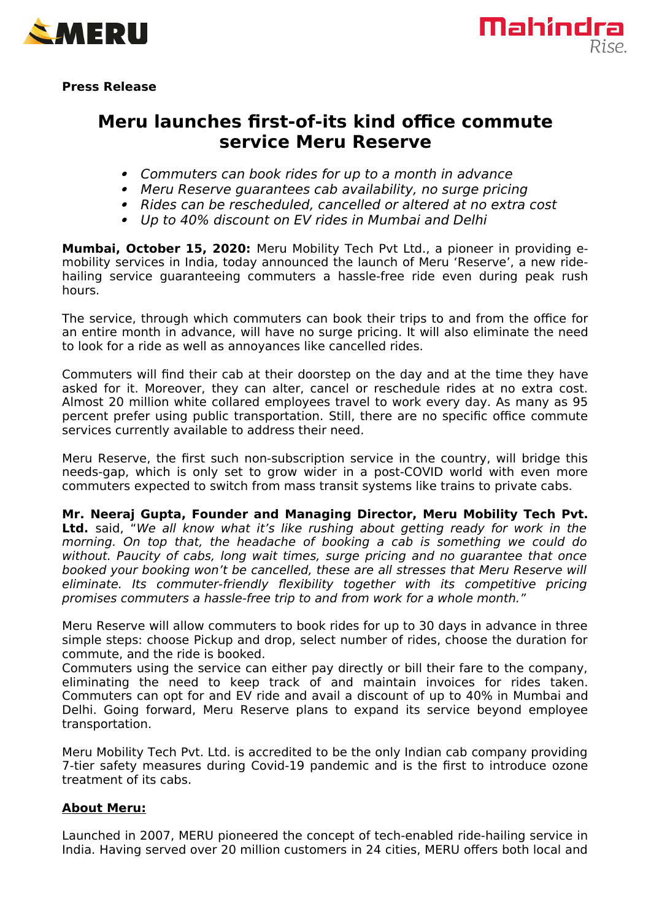



**Press Release**

## **Meru launches first-of-its kind office commute service Meru Reserve**

- Commuters can book rides for up to a month in advance
- Meru Reserve guarantees cab availability, no surge pricing
- Rides can be rescheduled, cancelled or altered at no extra cost
- Up to 40% discount on EV rides in Mumbai and Delhi

**Mumbai, October 15, 2020:** Meru Mobility Tech Pvt Ltd., a pioneer in providing emobility services in India, today announced the launch of Meru 'Reserve', a new ridehailing service guaranteeing commuters a hassle-free ride even during peak rush hours.

The service, through which commuters can book their trips to and from the office for an entire month in advance, will have no surge pricing. It will also eliminate the need to look for a ride as well as annoyances like cancelled rides.

Commuters will find their cab at their doorstep on the day and at the time they have asked for it. Moreover, they can alter, cancel or reschedule rides at no extra cost. Almost 20 million white collared employees travel to work every day. As many as 95 percent prefer using public transportation. Still, there are no specific office commute services currently available to address their need.

Meru Reserve, the first such non-subscription service in the country, will bridge this needs-gap, which is only set to grow wider in a post-COVID world with even more commuters expected to switch from mass transit systems like trains to private cabs.

**Mr. Neeraj Gupta, Founder and Managing Director, Meru Mobility Tech Pvt.** Ltd. said, "We all know what it's like rushing about getting ready for work in the morning. On top that, the headache of booking a cab is something we could do without. Paucity of cabs, long wait times, surge pricing and no quarantee that once booked your booking won't be cancelled, these are all stresses that Meru Reserve will eliminate. Its commuter-friendly flexibility together with its competitive pricing promises commuters a hassle-free trip to and from work for a whole month."

Meru Reserve will allow commuters to book rides for up to 30 days in advance in three simple steps: choose Pickup and drop, select number of rides, choose the duration for commute, and the ride is booked.

Commuters using the service can either pay directly or bill their fare to the company, eliminating the need to keep track of and maintain invoices for rides taken. Commuters can opt for and EV ride and avail a discount of up to 40% in Mumbai and Delhi. Going forward, Meru Reserve plans to expand its service beyond employee transportation.

Meru Mobility Tech Pvt. Ltd. is accredited to be the only Indian cab company providing 7-tier safety measures during Covid-19 pandemic and is the first to introduce ozone treatment of its cabs.

## **About Meru:**

Launched in 2007, MERU pioneered the concept of tech-enabled ride-hailing service in India. Having served over 20 million customers in 24 cities, MERU offers both local and